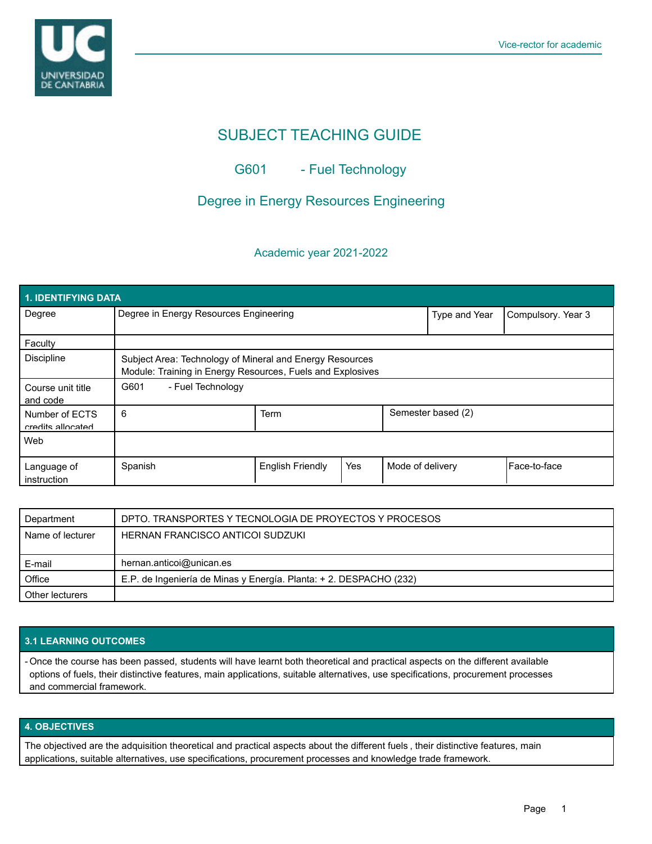

# SUBJECT TEACHING GUIDE

## G601 - Fuel Technology

## Degree in Energy Resources Engineering

#### Academic year 2021-2022

| <b>1. IDENTIFYING DATA</b>          |                                                                                                                        |                         |     |                    |                    |              |  |  |  |
|-------------------------------------|------------------------------------------------------------------------------------------------------------------------|-------------------------|-----|--------------------|--------------------|--------------|--|--|--|
| Degree                              | Degree in Energy Resources Engineering                                                                                 |                         |     | Type and Year      | Compulsory. Year 3 |              |  |  |  |
| Faculty                             |                                                                                                                        |                         |     |                    |                    |              |  |  |  |
| <b>Discipline</b>                   | Subject Area: Technology of Mineral and Energy Resources<br>Module: Training in Energy Resources, Fuels and Explosives |                         |     |                    |                    |              |  |  |  |
| Course unit title<br>and code       | G601<br>- Fuel Technology                                                                                              |                         |     |                    |                    |              |  |  |  |
| Number of ECTS<br>credits allocated | 6                                                                                                                      | Term                    |     | Semester based (2) |                    |              |  |  |  |
| Web                                 |                                                                                                                        |                         |     |                    |                    |              |  |  |  |
| Language of<br>instruction          | Spanish                                                                                                                | <b>English Friendly</b> | Yes | Mode of delivery   |                    | Face-to-face |  |  |  |

| Department       | DPTO. TRANSPORTES Y TECNOLOGIA DE PROYECTOS Y PROCESOS             |  |  |
|------------------|--------------------------------------------------------------------|--|--|
| Name of lecturer | HERNAN FRANCISCO ANTICOI SUDZUKI                                   |  |  |
|                  |                                                                    |  |  |
| E-mail           | hernan.anticoi@unican.es                                           |  |  |
| Office           | E.P. de Ingeniería de Minas y Energía. Planta: + 2. DESPACHO (232) |  |  |
| Other lecturers  |                                                                    |  |  |

#### **3.1 LEARNING OUTCOMES**

- Once the course has been passed, students will have learnt both theoretical and practical aspects on the different available options of fuels, their distinctive features, main applications, suitable alternatives, use specifications, procurement processes and commercial framework.

### **4. OBJECTIVES**

The objectived are the adquisition theoretical and practical aspects about the different fuels , their distinctive features, main applications, suitable alternatives, use specifications, procurement processes and knowledge trade framework.